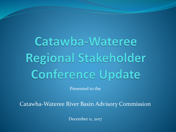Catawba-Wateree Regional Stakeholder **Conference Update** 

Presented to the

Catawba-Wateree River Basin Advisory Commission

December 11, 2017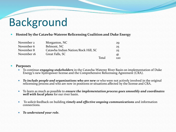# Background

#### **Hosted by the Catawba-Wateree Relicensing Coalition and Duke Energy**

| November 2  | Morganton, NC                       | 29   |
|-------------|-------------------------------------|------|
| November 6  | Belmont, NC                         | 25   |
| November 8  | Catawba Indian Nation/Rock Hill, SC | 25   |
| November 16 | Great Falls, SC                     | 41   |
|             | <b>Total</b>                        | 12.0 |

#### **Purposes**

- To continue *engaging stakeholders* in the Catawba-Wateree River Basin on implementation of Duke Energy's new hydropower license and the Comprehensive Relicensing Agreement (CRA).
- *To include people and organizations who are new* or who were not actively involved in the original relicensing process and who are now in positions or situations affected by the license and CRA.
- To learn as much as possible to *ensure the implementation process goes smoothly and coordinates well with local plans* for our river basin.
- To solicit feedback on building *timely and effective ongoing communications* and information connections.
- *To understand your role.*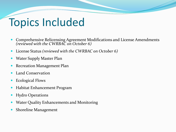## Topics Included

- Comprehensive Relicensing Agreement Modifications and License Amendments *(reviewed with the CWRBAC on October 6)*
- License Status *(reviewed with the CWRBAC on October 6)*
- Water Supply Master Plan
- Recreation Management Plan
- Land Conservation
- Ecological Flows
- Habitat Enhancement Program
- Hydro Operations
- Water Quality Enhancements and Monitoring
- Shoreline Management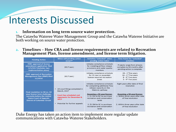## Interests Discussed

### **1. Information on long term source water protection.**

The Catawba Wateree Water Management Group and the Catawba Wateree Initiative are both working on source water protection.

### **2. Timelines – How CRA and license requirements are related to Recreation Management Plan, license amendment, and license term litigation.**

| <b>Pending Action</b>                                                                                                                                                  | When will pending action<br>$occur?*$                                                                                                    | Activities "unlocked" when<br>pending action taken                                                                                                                                                                          | <b>Time frame for "unlocked"</b><br>activities                                                                                                 |
|------------------------------------------------------------------------------------------------------------------------------------------------------------------------|------------------------------------------------------------------------------------------------------------------------------------------|-----------------------------------------------------------------------------------------------------------------------------------------------------------------------------------------------------------------------------|------------------------------------------------------------------------------------------------------------------------------------------------|
| <b>FERC</b> approval of license<br>amendment application filed<br>5/5/2017 (includes two<br>implementation plans)                                                      | 2017 (est.)                                                                                                                              | Initiates compliance schedule<br>for installing all flow release<br>provisions and water quality<br>monitors                                                                                                                | Projects range from already<br>complete to 55 months after<br>pending action is complete.                                                      |
| <b>FERC approval of Recreation</b><br><b>Management Plan (RMP) filed</b><br>11/2016                                                                                    | 2017 (est.)                                                                                                                              | Initiates compliance schedule<br>for 55 new or expanded<br>license-required recreation<br>areas                                                                                                                             | 28 - $1st$ five years<br>16 - $2nd$ five years<br>$8 - 3$ <sup>rd</sup> five years<br>$3 - 4$ <sup>th</sup> five years                         |
| Final resolution to 40-vs.-50<br>year license term challenge,<br>currently before the United<br><b>States Court of Appeals,</b><br><b>District of Columbia Circuit</b> | All court filings completed in<br>$\bullet$<br>March, 2017<br>$\bullet$<br>Court has scheduled oral<br>arguments for December 8,<br>2017 | Initiates compliance schedule<br>for completing additional flow<br>release capacity on the<br>Wateree spillway<br><b>Assuming a 50-year license:</b><br>1. \$1.5M to NC to purchase<br>recreation and conservation<br>lands | Eight years after date of final<br>resolution<br><b>Assuming a 50-year license:</b><br>1. Within three years after date<br>of final resolution |
|                                                                                                                                                                        | Potential for further appeals<br>$\bullet$                                                                                               | 2. \$1.5M to SC to purchase<br>recreation and conservation<br>lands                                                                                                                                                         | 2. Within three years after date<br>of final resolution                                                                                        |

Duke Energy has taken an action item to implement more regular update communications with Catawba-Wateree Stakeholders.